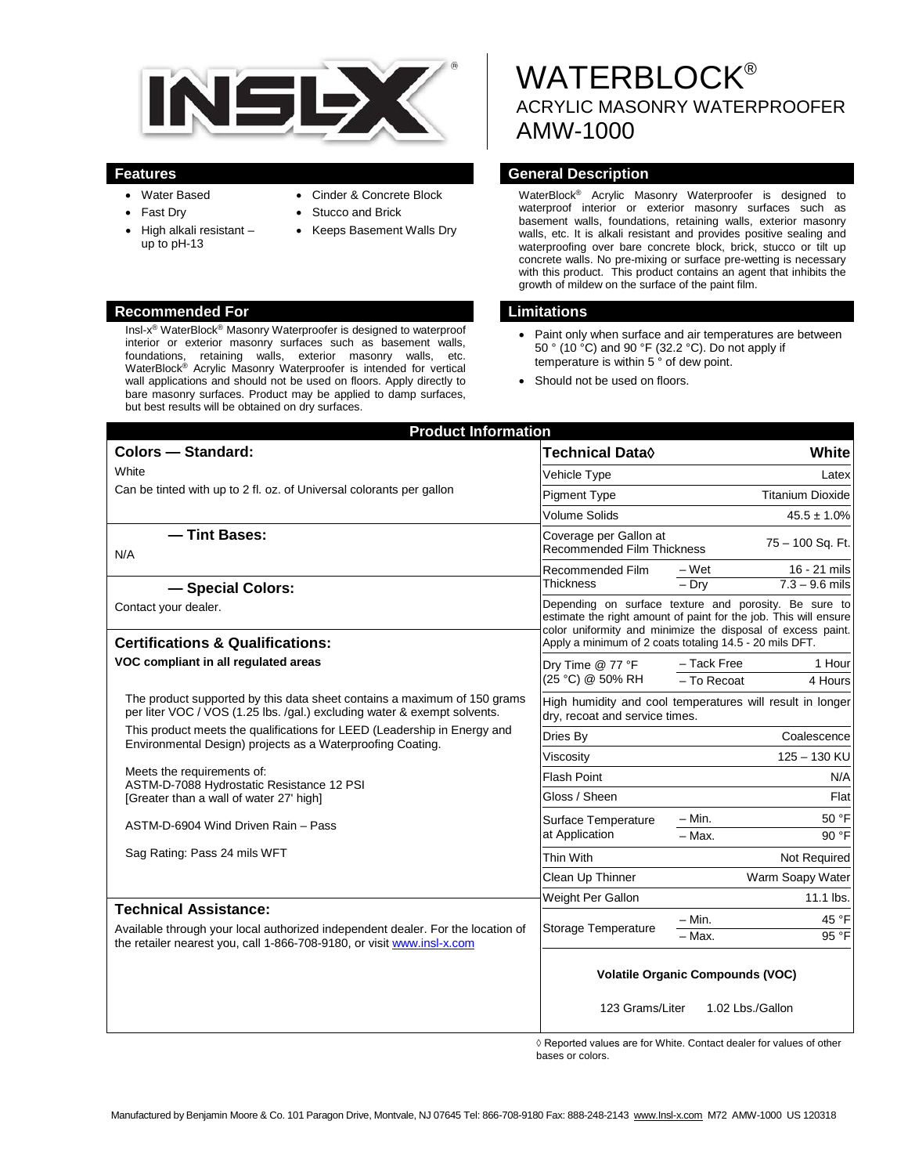

- Water Based
- Fast Dry
- High alkali resistant up to pH-13
- Cinder & Concrete Block
- Stucco and Brick
- Keeps Basement Walls Dry

# **Recommended For Limitations**

Insl-x® WaterBlock® Masonry Waterproofer is designed to waterproof interior or exterior masonry surfaces such as basement walls, foundations, retaining walls, exterior masonry walls, etc. WaterBlock® Acrylic Masonry Waterproofer is intended for vertical wall applications and should not be used on floors. Apply directly to bare masonry surfaces. Product may be applied to damp surfaces, but best results will be obtained on dry surfaces.

# **WATERBLOCK®** ACRYLIC MASONRY WATERPROOFER AMW-1000

### **Features General Description**

WaterBlock® Acrylic Masonry Waterproofer is designed to waterproof interior or exterior masonry surfaces such as basement walls, foundations, retaining walls, exterior masonry walls, etc. It is alkali resistant and provides positive sealing and waterproofing over bare concrete block, brick, stucco or tilt up concrete walls. No pre-mixing or surface pre-wetting is necessary with this product. This product contains an agent that inhibits the growth of mildew on the surface of the paint film.

- Paint only when surface and air temperatures are between 50 ° (10 °C) and 90 °F (32.2 °C). Do not apply if temperature is within 5 ° of dew point.
- Should not be used on floors.

| <b>Product Information</b>                                                                                                                                                                                        |                                                                                                                                                                                                                                                     |                                                   |
|-------------------------------------------------------------------------------------------------------------------------------------------------------------------------------------------------------------------|-----------------------------------------------------------------------------------------------------------------------------------------------------------------------------------------------------------------------------------------------------|---------------------------------------------------|
| <b>Colors - Standard:</b>                                                                                                                                                                                         | <b>Technical Data</b> ♦                                                                                                                                                                                                                             | White                                             |
| White<br>Can be tinted with up to 2 fl. oz. of Universal colorants per gallon                                                                                                                                     | Vehicle Type                                                                                                                                                                                                                                        | Latex                                             |
|                                                                                                                                                                                                                   | <b>Pigment Type</b>                                                                                                                                                                                                                                 | <b>Titanium Dioxide</b>                           |
|                                                                                                                                                                                                                   | <b>Volume Solids</b>                                                                                                                                                                                                                                | $45.5 \pm 1.0\%$                                  |
| - Tint Bases:<br>N/A                                                                                                                                                                                              | Coverage per Gallon at<br>75 - 100 Sq. Ft.<br>Recommended Film Thickness                                                                                                                                                                            |                                                   |
|                                                                                                                                                                                                                   | Recommended Film                                                                                                                                                                                                                                    | $-Wet$<br>16 - 21 mils                            |
| - Special Colors:                                                                                                                                                                                                 | Thickness                                                                                                                                                                                                                                           | $7.3 - 9.6$ mils<br>$-Dry$                        |
| Contact your dealer.                                                                                                                                                                                              | Depending on surface texture and porosity. Be sure to<br>estimate the right amount of paint for the job. This will ensure<br>color uniformity and minimize the disposal of excess paint.<br>Apply a minimum of 2 coats totaling 14.5 - 20 mils DFT. |                                                   |
| <b>Certifications &amp; Qualifications:</b>                                                                                                                                                                       |                                                                                                                                                                                                                                                     |                                                   |
| VOC compliant in all regulated areas                                                                                                                                                                              | Dry Time @ 77 °F<br>(25 °C) @ 50% RH                                                                                                                                                                                                                | - Tack Free<br>1 Hour<br>$-$ To Recoat<br>4 Hours |
| The product supported by this data sheet contains a maximum of 150 grams<br>per liter VOC / VOS (1.25 lbs. /gal.) excluding water & exempt solvents.                                                              | High humidity and cool temperatures will result in longer<br>dry, recoat and service times.                                                                                                                                                         |                                                   |
| This product meets the qualifications for LEED (Leadership in Energy and<br>Environmental Design) projects as a Waterproofing Coating.<br>Meets the requirements of:<br>ASTM-D-7088 Hydrostatic Resistance 12 PSI | Dries By                                                                                                                                                                                                                                            | Coalescence                                       |
|                                                                                                                                                                                                                   | Viscosity                                                                                                                                                                                                                                           | 125 - 130 KU                                      |
|                                                                                                                                                                                                                   | <b>Flash Point</b>                                                                                                                                                                                                                                  | N/A                                               |
| [Greater than a wall of water 27' high]                                                                                                                                                                           | Gloss / Sheen                                                                                                                                                                                                                                       | Flat                                              |
| ASTM-D-6904 Wind Driven Rain - Pass                                                                                                                                                                               | Surface Temperature<br>at Application                                                                                                                                                                                                               | 50 °F<br>- Min.                                   |
|                                                                                                                                                                                                                   |                                                                                                                                                                                                                                                     | $-$ Max.<br>90 °F                                 |
| Sag Rating: Pass 24 mils WFT                                                                                                                                                                                      | Thin With                                                                                                                                                                                                                                           | Not Required                                      |
|                                                                                                                                                                                                                   | Clean Up Thinner                                                                                                                                                                                                                                    | Warm Soapy Water                                  |
| <b>Technical Assistance:</b>                                                                                                                                                                                      | Weight Per Gallon                                                                                                                                                                                                                                   | $11.1$ lbs.                                       |
|                                                                                                                                                                                                                   | Storage Temperature                                                                                                                                                                                                                                 | 45 °F<br>- Min.                                   |
| Available through your local authorized independent dealer. For the location of<br>the retailer nearest you, call 1-866-708-9180, or visit www.insl-x.com                                                         |                                                                                                                                                                                                                                                     | 95 °F<br>- Max.                                   |
|                                                                                                                                                                                                                   | <b>Volatile Organic Compounds (VOC)</b>                                                                                                                                                                                                             |                                                   |
|                                                                                                                                                                                                                   | 123 Grams/Liter<br>1.02 Lbs./Gallon                                                                                                                                                                                                                 |                                                   |

◊ Reported values are for White. Contact dealer for values of other bases or colors.